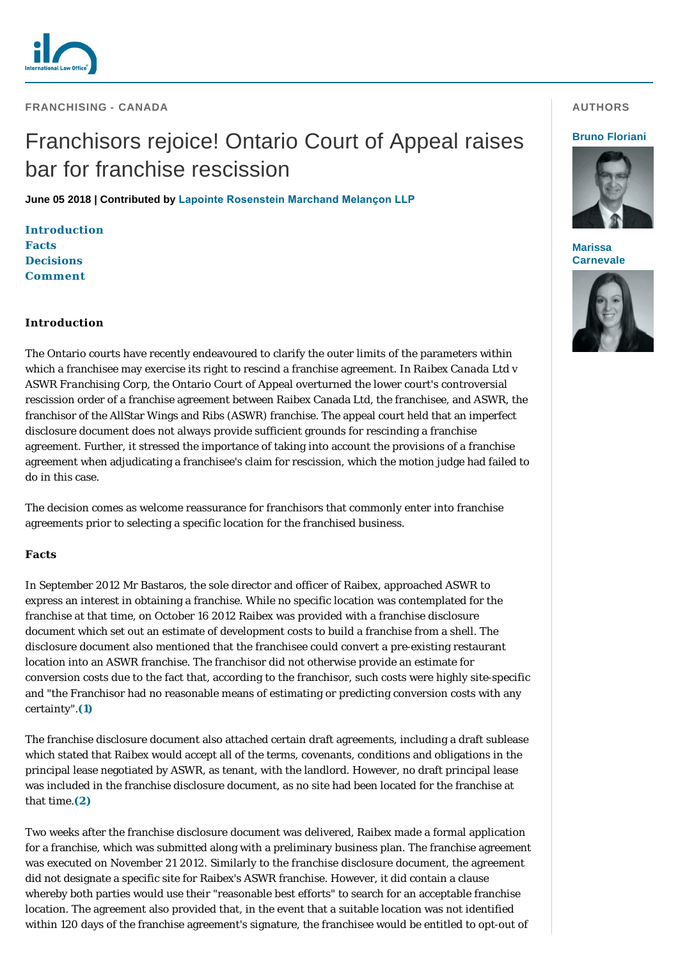

# Franchisors rejoice! Ontario Court of Appeal raises bar for franchise rescission

**June 05 2018 | Contributed by [Lapointe Rosenstein Marchand Melançon LLP](https://www.internationallawoffice.com/gesr.ashx?l=7ZUC65S)**

**[Introduction](#page-0-0) [Facts](#page-0-1) [Decisions](#page-1-0) [Comment](#page-3-0)**

## <span id="page-0-0"></span>**Introduction**

The Ontario courts have recently endeavoured to clarify the outer limits of the parameters within which a franchisee may exercise its right to rescind a franchise agreement. In *Raibex Canada Ltd v ASWR Franchising Corp*, the Ontario Court of Appeal overturned the lower court's controversial rescission order of a franchise agreement between Raibex Canada Ltd, the franchisee, and ASWR, the franchisor of the AllStar Wings and Ribs (ASWR) franchise. The appeal court held that an imperfect disclosure document does not always provide sufficient grounds for rescinding a franchise agreement. Further, it stressed the importance of taking into account the provisions of a franchise agreement when adjudicating a franchisee's claim for rescission, which the motion judge had failed to do in this case.

The decision comes as welcome reassurance for franchisors that commonly enter into franchise agreements prior to selecting a specific location for the franchised business.

#### <span id="page-0-1"></span>**Facts**

In September 2012 Mr Bastaros, the sole director and officer of Raibex, approached ASWR to express an interest in obtaining a franchise. While no specific location was contemplated for the franchise at that time, on October 16 2012 Raibex was provided with a franchise disclosure document which set out an estimate of development costs to build a franchise from a shell. The disclosure document also mentioned that the franchisee could convert a pre-existing restaurant location into an ASWR franchise. The franchisor did not otherwise provide an estimate for conversion costs due to the fact that, according to the franchisor, such costs were highly site-specific and "the Franchisor had no reasonable means of estimating or predicting conversion costs with any certainty".**[\(1\)](#page-3-1)**

The franchise disclosure document also attached certain draft agreements, including a draft sublease which stated that Raibex would accept all of the terms, covenants, conditions and obligations in the principal lease negotiated by ASWR, as tenant, with the landlord. However, no draft principal lease was included in the franchise disclosure document, as no site had been located for the franchise at that time.**[\(2\)](#page-3-2)**

Two weeks after the franchise disclosure document was delivered, Raibex made a formal application for a franchise, which was submitted along with a preliminary business plan. The franchise agreement was executed on November 21 2012. Similarly to the franchise disclosure document, the agreement did not designate a specific site for Raibex's ASWR franchise. However, it did contain a clause whereby both parties would use their "reasonable best efforts" to search for an acceptable franchise location. The agreement also provided that, in the event that a suitable location was not identified within 120 days of the franchise agreement's signature, the franchisee would be entitled to opt-out of

#### **AUTHORS**

#### **[Bruno Floriani](https://www.internationallawoffice.com/gesr.ashx?l=7ZUC66A)**



**Marissa [Carnevale](https://www.internationallawoffice.com/gesr.ashx?l=7ZUC66D)**

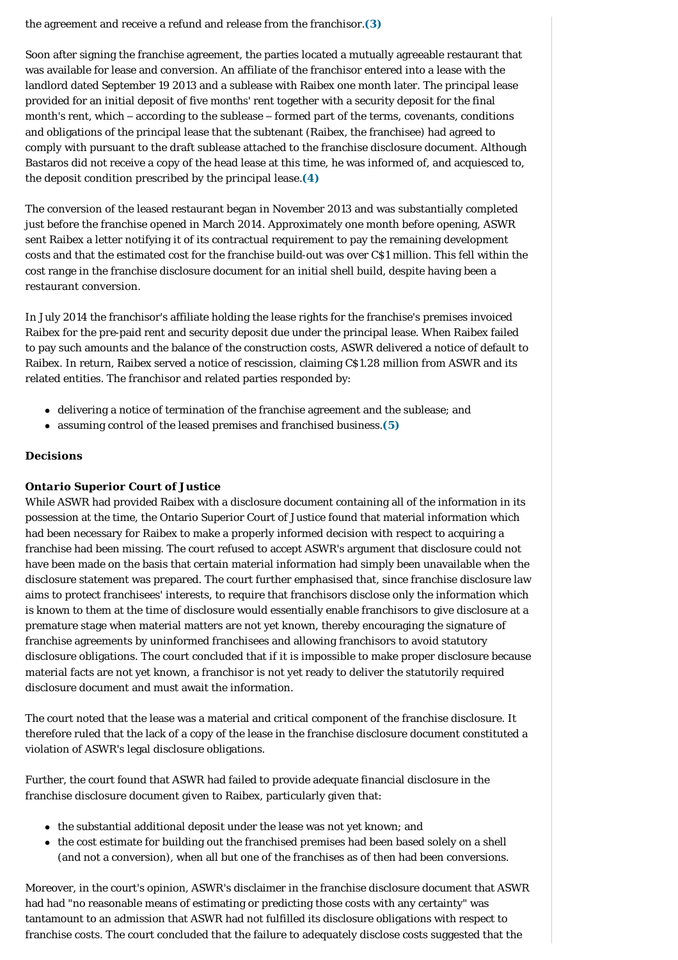the agreement and receive a refund and release from the franchisor.**[\(3\)](#page-3-3)**

Soon after signing the franchise agreement, the parties located a mutually agreeable restaurant that was available for lease and conversion. An affiliate of the franchisor entered into a lease with the landlord dated September 19 2013 and a sublease with Raibex one month later. The principal lease provided for an initial deposit of five months' rent together with a security deposit for the final month's rent, which – according to the sublease – formed part of the terms, covenants, conditions and obligations of the principal lease that the subtenant (Raibex, the franchisee) had agreed to comply with pursuant to the draft sublease attached to the franchise disclosure document. Although Bastaros did not receive a copy of the head lease at this time, he was informed of, and acquiesced to, the deposit condition prescribed by the principal lease.**[\(4\)](#page-4-0)**

The conversion of the leased restaurant began in November 2013 and was substantially completed just before the franchise opened in March 2014. Approximately one month before opening, ASWR sent Raibex a letter notifying it of its contractual requirement to pay the remaining development costs and that the estimated cost for the franchise build-out was over C\$1 million. This fell within the cost range in the franchise disclosure document for an initial shell build, despite having been a restaurant conversion.

In July 2014 the franchisor's affiliate holding the lease rights for the franchise's premises invoiced Raibex for the pre-paid rent and security deposit due under the principal lease. When Raibex failed to pay such amounts and the balance of the construction costs, ASWR delivered a notice of default to Raibex. In return, Raibex served a notice of rescission, claiming C\$1.28 million from ASWR and its related entities. The franchisor and related parties responded by:

- delivering a notice of termination of the franchise agreement and the sublease; and
- assuming control of the leased premises and franchised business.<sup>[\(5\)](#page-4-1)</sup>

## <span id="page-1-0"></span>**Decisions**

## *Ontario Superior Court of Justice*

While ASWR had provided Raibex with a disclosure document containing all of the information in its possession at the time, the Ontario Superior Court of Justice found that material information which had been necessary for Raibex to make a properly informed decision with respect to acquiring a franchise had been missing. The court refused to accept ASWR's argument that disclosure could not have been made on the basis that certain material information had simply been unavailable when the disclosure statement was prepared. The court further emphasised that, since franchise disclosure law aims to protect franchisees' interests, to require that franchisors disclose only the information which is known to them at the time of disclosure would essentially enable franchisors to give disclosure at a premature stage when material matters are not yet known, thereby encouraging the signature of franchise agreements by uninformed franchisees and allowing franchisors to avoid statutory disclosure obligations. The court concluded that if it is impossible to make proper disclosure because material facts are not yet known, a franchisor is not yet ready to deliver the statutorily required disclosure document and must await the information.

The court noted that the lease was a material and critical component of the franchise disclosure. It therefore ruled that the lack of a copy of the lease in the franchise disclosure document constituted a violation of ASWR's legal disclosure obligations.

Further, the court found that ASWR had failed to provide adequate financial disclosure in the franchise disclosure document given to Raibex, particularly given that:

- the substantial additional deposit under the lease was not yet known; and
- the cost estimate for building out the franchised premises had been based solely on a shell (and not a conversion), when all but one of the franchises as of then had been conversions.

Moreover, in the court's opinion, ASWR's disclaimer in the franchise disclosure document that ASWR had had "no reasonable means of estimating or predicting those costs with any certainty" was tantamount to an admission that ASWR had not fulfilled its disclosure obligations with respect to franchise costs. The court concluded that the failure to adequately disclose costs suggested that the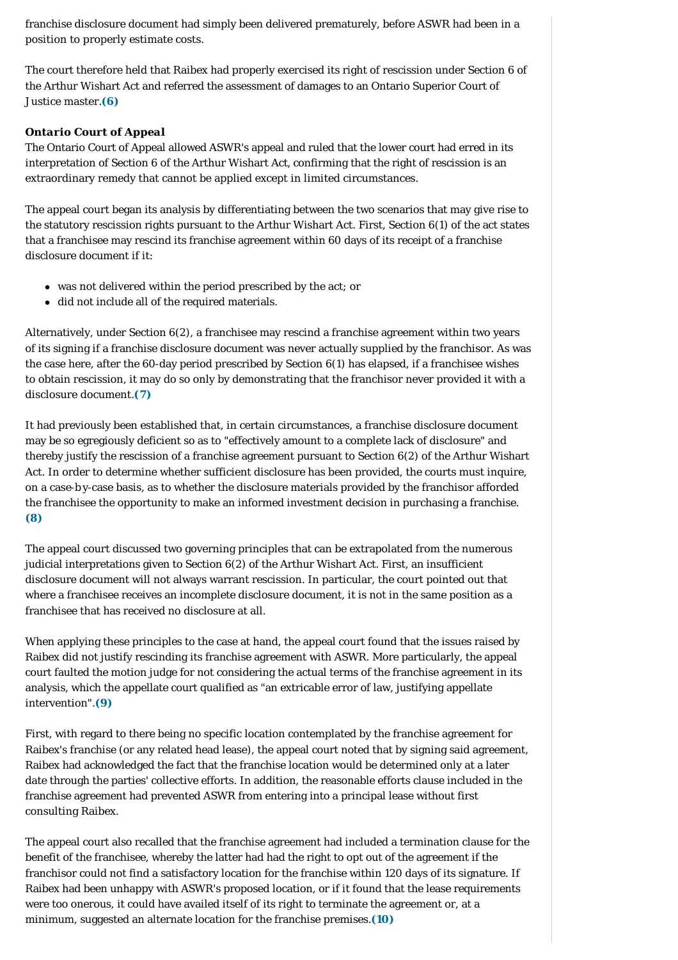franchise disclosure document had simply been delivered prematurely, before ASWR had been in a position to properly estimate costs.

The court therefore held that Raibex had properly exercised its right of rescission under Section 6 of the Arthur Wishart Act and referred the assessment of damages to an Ontario Superior Court of Justice master.**[\(6\)](#page-4-2)**

# *Ontario Court of Appeal*

The Ontario Court of Appeal allowed ASWR's appeal and ruled that the lower court had erred in its interpretation of Section 6 of the Arthur Wishart Act*,* confirming that the right of rescission is an extraordinary remedy that cannot be applied except in limited circumstances.

The appeal court began its analysis by differentiating between the two scenarios that may give rise to the statutory rescission rights pursuant to the Arthur Wishart Act. First, Section 6(1) of the act states that a franchisee may rescind its franchise agreement within 60 days of its receipt of a franchise disclosure document if it:

- was not delivered within the period prescribed by the act; or
- $\bullet$  did not include all of the required materials.

Alternatively, under Section 6(2), a franchisee may rescind a franchise agreement within two years of its signing if a franchise disclosure document was never actually supplied by the franchisor. As was the case here, after the 60-day period prescribed by Section 6(1) has elapsed, if a franchisee wishes to obtain rescission, it may do so only by demonstrating that the franchisor never provided it with a disclosure document.**[\(7\)](#page-4-3)**

It had previously been established that, in certain circumstances, a franchise disclosure document may be so egregiously deficient so as to "effectively amount to a complete lack of disclosure" and thereby justify the rescission of a franchise agreement pursuant to Section 6(2) of the Arthur Wishart Act. In order to determine whether sufficient disclosure has been provided, the courts must inquire, on a case-b y-case basis, as to whether the disclosure materials provided by the franchisor afforded the franchisee the opportunity to make an informed investment decision in purchasing a franchise. **[\(8\)](#page-4-4)**

The appeal court discussed two governing principles that can be extrapolated from the numerous judicial interpretations given to Section 6(2) of the Arthur Wishart Act. First, an insufficient disclosure document will not always warrant rescission. In particular, the court pointed out that where a franchisee receives an incomplete disclosure document, it is not in the same position as a franchisee that has received no disclosure at all.

When applying these principles to the case at hand, the appeal court found that the issues raised by Raibex did not justify rescinding its franchise agreement with ASWR. More particularly, the appeal court faulted the motion judge for not considering the actual terms of the franchise agreement in its analysis, which the appellate court qualified as "an extricable error of law, justifying appellate intervention".**[\(9\)](#page-4-5)**

First, with regard to there being no specific location contemplated by the franchise agreement for Raibex's franchise (or any related head lease), the appeal court noted that by signing said agreement, Raibex had acknowledged the fact that the franchise location would be determined only at a later date through the parties' collective efforts. In addition, the reasonable efforts clause included in the franchise agreement had prevented ASWR from entering into a principal lease without first consulting Raibex.

The appeal court also recalled that the franchise agreement had included a termination clause for the benefit of the franchisee, whereby the latter had had the right to opt out of the agreement if the franchisor could not find a satisfactory location for the franchise within 120 days of its signature. If Raibex had been unhappy with ASWR's proposed location, or if it found that the lease requirements were too onerous, it could have availed itself of its right to terminate the agreement or, at a minimum, suggested an alternate location for the franchise premises.**[\(10\)](#page-4-6)**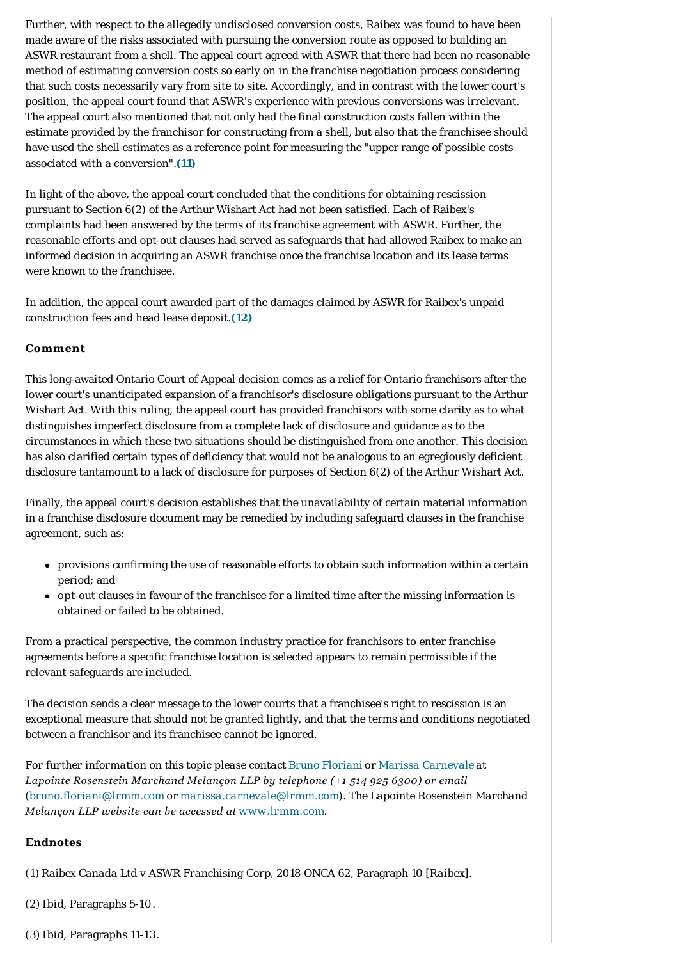Further, with respect to the allegedly undisclosed conversion costs, Raibex was found to have been made aware of the risks associated with pursuing the conversion route as opposed to building an ASWR restaurant from a shell. The appeal court agreed with ASWR that there had been no reasonable method of estimating conversion costs so early on in the franchise negotiation process considering that such costs necessarily vary from site to site. Accordingly, and in contrast with the lower court's position, the appeal court found that ASWR's experience with previous conversions was irrelevant. The appeal court also mentioned that not only had the final construction costs fallen within the estimate provided by the franchisor for constructing from a shell, but also that the franchisee should have used the shell estimates as a reference point for measuring the "upper range of possible costs associated with a conversion".**[\(11\)](#page-4-7)**

In light of the above, the appeal court concluded that the conditions for obtaining rescission pursuant to Section 6(2) of the Arthur Wishart Act had not been satisfied. Each of Raibex's complaints had been answered by the terms of its franchise agreement with ASWR. Further, the reasonable efforts and opt-out clauses had served as safeguards that had allowed Raibex to make an informed decision in acquiring an ASWR franchise once the franchise location and its lease terms were known to the franchisee.

In addition, the appeal court awarded part of the damages claimed by ASWR for Raibex's unpaid construction fees and head lease deposit.**[\(12\)](#page-4-8)**

# <span id="page-3-0"></span>**Comment**

This long-awaited Ontario Court of Appeal decision comes as a relief for Ontario franchisors after the lower court's unanticipated expansion of a franchisor's disclosure obligations pursuant to the Arthur Wishart Act. With this ruling, the appeal court has provided franchisors with some clarity as to what distinguishes imperfect disclosure from a complete lack of disclosure and guidance as to the circumstances in which these two situations should be distinguished from one another. This decision has also clarified certain types of deficiency that would not be analogous to an egregiously deficient disclosure tantamount to a lack of disclosure for purposes of Section 6(2) of the Arthur Wishart Act.

Finally, the appeal court's decision establishes that the unavailability of certain material information in a franchise disclosure document may be remedied by including safeguard clauses in the franchise agreement, such as:

- provisions confirming the use of reasonable efforts to obtain such information within a certain period; and
- <sup>l</sup> opt-out clauses in favour of the franchisee for a limited time after the missing information is obtained or failed to be obtained.

From a practical perspective, the common industry practice for franchisors to enter franchise agreements before a specific franchise location is selected appears to remain permissible if the relevant safeguards are included.

The decision sends a clear message to the lower courts that a franchisee's right to rescission is an exceptional measure that should not be granted lightly, and that the terms and conditions negotiated between a franchisor and its franchisee cannot be ignored.

*For further information on this topic please contact [Bruno Floriani](https://www.internationallawoffice.com/gesr.ashx?l=7ZUC65Y) or [Marissa Carnevale](https://www.internationallawoffice.com/gesr.ashx?l=7ZUC661) at Lapointe Rosenstein Marchand Melançon LLP by telephone (+1 514 925 6300) or email ([bruno.floriani@lrmm.com](mailto:bruno.floriani@lrmm.com?subject=Article%20on%20ILO) or [marissa.carnevale@lrmm.com](mailto:marissa.carnevale@lrmm.com?subject=Article%20on%20ILO)). The Lapointe Rosenstein Marchand Melançon LLP website can be accessed at [www.lrmm.com](https://www.internationallawoffice.com/gesr.ashx?l=7ZUC664).*

#### **Endnotes**

<span id="page-3-1"></span>(1) *Raibex Canada Ltd v ASWR Franchising Corp*, 2018 ONCA 62, Paragraph 10 [*Raibex*].

- <span id="page-3-2"></span>(2) *Ibid*, Paragraphs 5-10.
- <span id="page-3-3"></span>(3) *Ibid*, Paragraphs 11-13.